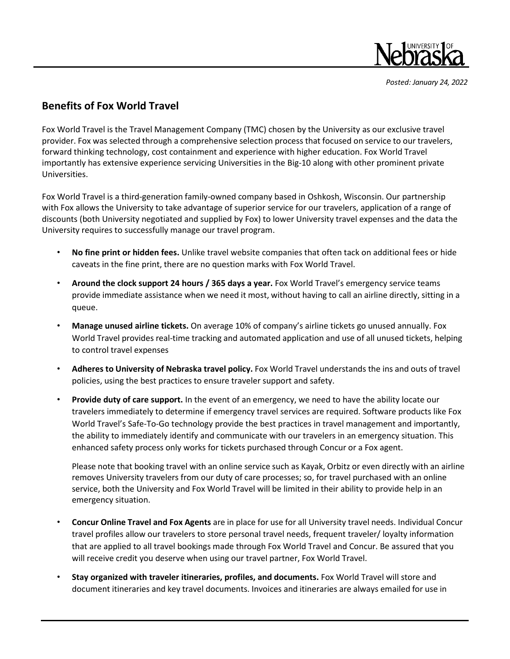

*Posted: January 24, 2022*

## **Benefits of Fox World Travel**

Fox World Travel is the Travel Management Company (TMC) chosen by the University as our exclusive travel provider. Fox was selected through a comprehensive selection process that focused on service to our travelers, forward thinking technology, cost containment and experience with higher education. Fox World Travel importantly has extensive experience servicing Universities in the Big-10 along with other prominent private Universities.

Fox World Travel is a third-generation family-owned company based in Oshkosh, Wisconsin. Our partnership with Fox allows the University to take advantage of superior service for our travelers, application of a range of discounts (both University negotiated and supplied by Fox) to lower University travel expenses and the data the University requires to successfully manage our travel program.

- **No fine print or hidden fees.** Unlike travel website companies that often tack on additional fees or hide caveats in the fine print, there are no question marks with Fox World Travel.
- **Around the clock support 24 hours / 365 days a year.** Fox World Travel's emergency service teams provide immediate assistance when we need it most, without having to call an airline directly, sitting in a queue.
- **Manage unused airline tickets.** On average 10% of company's airline tickets go unused annually. Fox World Travel provides real-time tracking and automated application and use of all unused tickets, helping to control travel expenses
- **Adheres to University of Nebraska travel policy.** Fox World Travel understands the ins and outs of travel policies, using the best practices to ensure traveler support and safety.
- **Provide duty of care support.** In the event of an emergency, we need to have the ability locate our travelers immediately to determine if emergency travel services are required. Software products like Fox World Travel's Safe-To-Go technology provide the best practices in travel management and importantly, the ability to immediately identify and communicate with our travelers in an emergency situation. This enhanced safety process only works for tickets purchased through Concur or a Fox agent.

Please note that booking travel with an online service such as Kayak, Orbitz or even directly with an airline removes University travelers from our duty of care processes; so, for travel purchased with an online service, both the University and Fox World Travel will be limited in their ability to provide help in an emergency situation.

- **Concur Online Travel and Fox Agents** are in place for use for all University travel needs. Individual Concur travel profiles allow our travelers to store personal travel needs, frequent traveler/ loyalty information that are applied to all travel bookings made through Fox World Travel and Concur. Be assured that you will receive credit you deserve when using our travel partner, Fox World Travel.
- **Stay organized with traveler itineraries, profiles, and documents.** Fox World Travel will store and document itineraries and key travel documents. Invoices and itineraries are always emailed for use in